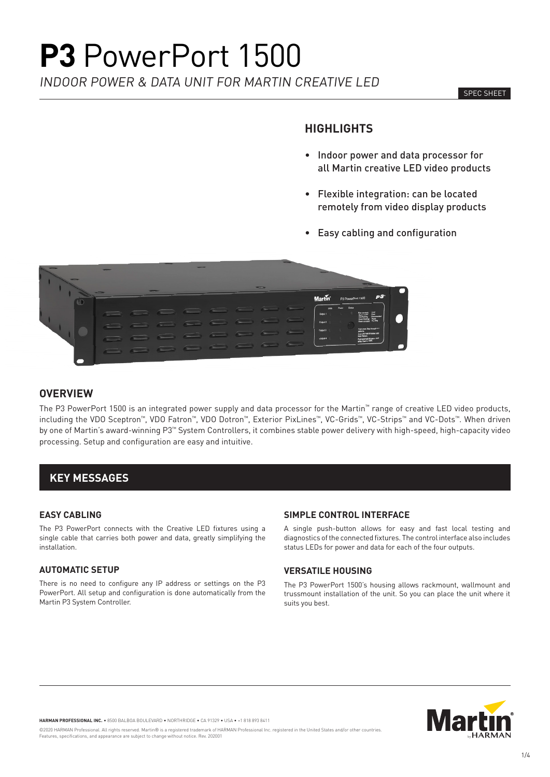INDOOR POWER & DATA UNIT FOR MARTIN CREATIVE LED

#### SPEC SHEET

### **HIGHLIGHTS**

- Indoor power and data processor for all Martin creative LED video products
- Flexible integration: can be located remotely from video display products
- Easy cabling and configuration



#### **OVERVIEW**

The P3 PowerPort 1500 is an integrated power supply and data processor for the Martin™ range of creative LED video products, including the VDO Sceptron™, VDO Fatron™, VDO Dotron™, Exterior PixLines™, VC-Grids™, VC-Strips™ and VC-Dots™. When driven by one of Martin's award-winning P3™ System Controllers, it combines stable power delivery with high-speed, high-capacity video processing. Setup and configuration are easy and intuitive.

## **KEY MESSAGES**

#### **EASY CABLING**

The P3 PowerPort connects with the Creative LED fixtures using a single cable that carries both power and data, greatly simplifying the installation.

#### **AUTOMATIC SETUP**

There is no need to configure any IP address or settings on the P3 PowerPort. All setup and configuration is done automatically from the Martin P3 System Controller.

#### **SIMPLE CONTROL INTERFACE**

A single push-button allows for easy and fast local testing and diagnostics of the connected fixtures. The control interface also includes status LEDs for power and data for each of the four outputs.

#### **VERSATILE HOUSING**

The P3 PowerPort 1500's housing allows rackmount, wallmount and trussmount installation of the unit. So you can place the unit where it suits you best.



**HARMAN PROFESSIONAL INC.** • 8500 BALBOA BOULEVARD • NORTHRIDGE • CA 91329 • USA • +1 818 893 8411

©2020 HARMAN Professional. All rights reserved. Martin® is a registered trademark of HARMAN Professional Inc. registered in the United States and/or other countries. Features, specifications, and appearance are subject to change without notice. Rev. 202001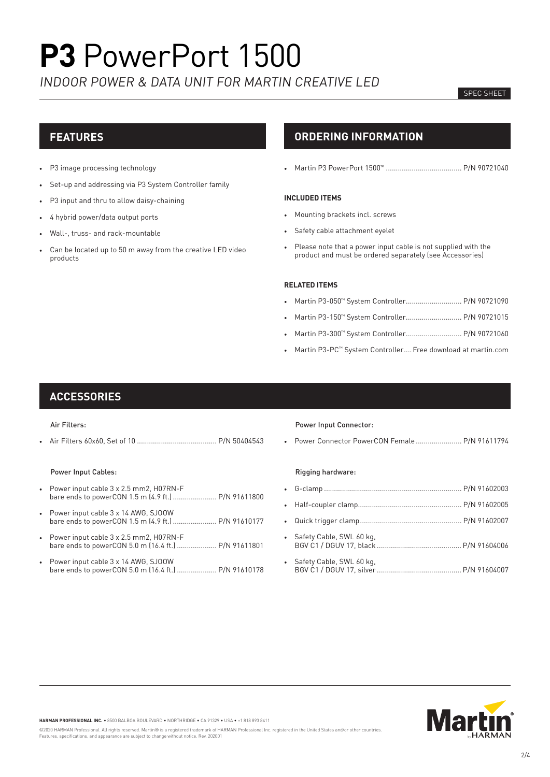INDOOR POWER & DATA UNIT FOR MARTIN CREATIVE LED

#### SPEC SHEET

### **FEATURES**

- P3 image processing technology
- Set-up and addressing via P3 System Controller family
- P3 input and thru to allow daisy-chaining
- 4 hybrid power/data output ports
- Wall-, truss- and rack-mountable
- Can be located up to 50 m away from the creative LED video products

## **ORDERING INFORMATION**

• Martin P3 PowerPort 1500™ ...................................... P/N 90721040

#### **INCLUDED ITEMS**

- Mounting brackets incl. screws
- Safety cable attachment eyelet
- Please note that a power input cable is not supplied with the product and must be ordered separately (see Accessories)

#### **RELATED ITEMS**

- Martin P3-050™ System Controller............................ P/N 90721090
- Martin P3-150™ System Controller............................ P/N 90721015
- Martin P3-300™ System Controller............................ P/N 90721060
- Martin P3-PC™ System Controller....Free download at martin.com

#### **ACCESSORIES**

#### Air Filters:

• Air Filters 60x60, Set of 10 ........................................ P/N 50404543

#### Power Input Cables:

- Power input cable 3 x 2.5 mm2, H07RN-F bare ends to powerCON 1.5 m (4.9 ft.) ...................... P/N 91611800
- Power input cable 3 x 14 AWG, SJOOW bare ends to powerCON 1.5 m (4.9 ft.) ....................... P/N 91610177
- Power input cable 3 x 2.5 mm2, H07RN-F bare ends to powerCON 5.0 m (16.4 ft.) .................... P/N 91611801
- Power input cable 3 x 14 AWG, SJOOW bare ends to powerCON 5.0 m (16.4 ft.) .................... P/N 91610178

#### Power Input Connector:

• Power Connector PowerCON Female ....................... P/N 91611794

#### Rigging hardware:

| • Safety Cable, SWL 60 kg, |  |
|----------------------------|--|
| • Safety Cable, SWL 60 kg, |  |



**HARMAN PROFESSIONAL INC.** • 8500 BALBOA BOULEVARD • NORTHRIDGE • CA 91329 • USA • +1 818 893 8411

©2020 HARMAN Professional. All rights reserved. Martin® is a registered trademark of HARMAN Professional Inc. registered in the United States and/or other countries. Features, specifications, and appearance are subject to change without notice. Rev. 202001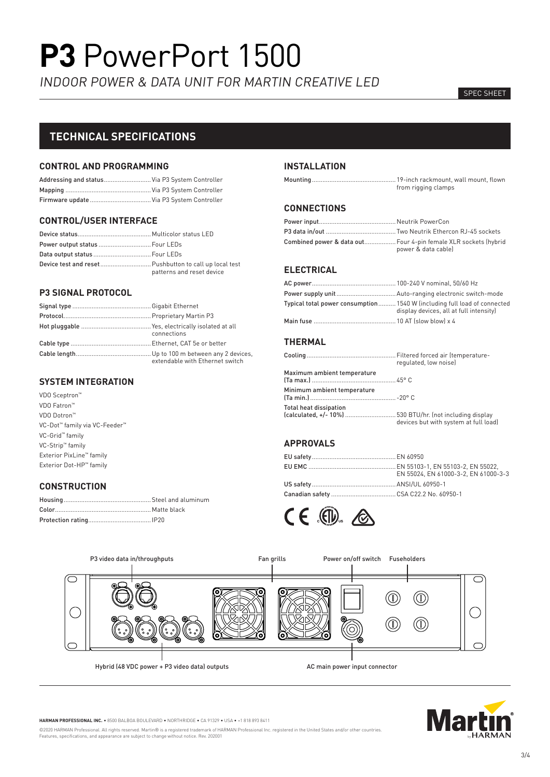INDOOR POWER & DATA UNIT FOR MARTIN CREATIVE LED

#### SPEC SHEET

## **TECHNICAL SPECIFICATIONS**

#### **CONTROL AND PROGRAMMING**

| Addressing and status Via P3 System Controller |  |  |
|------------------------------------------------|--|--|
|                                                |  |  |
| Firmware update Via P3 System Controller       |  |  |

#### **CONTROL/USER INTERFACE**

| Power output status  Four LEDs                         |                           |
|--------------------------------------------------------|---------------------------|
| Data output status  Four LEDs                          |                           |
| Device test and reset Pushbutton to call up local test | patterns and reset device |

#### **P3 SIGNAL PROTOCOL**

| connections                     |
|---------------------------------|
|                                 |
| extendable with Ethernet switch |

#### **SYSTEM INTEGRATION**

VDO Sceptron™ VDO Fatron™ VDO Dotron™ VC-Dot™ family via VC-Feeder™ VC-Grid™ family VC-Strip™ family Exterior PixLine™ family Exterior Dot-HP™ family

#### **CONSTRUCTION**

#### **INSTALLATION**

| from rigging clamps |  |
|---------------------|--|

#### **CONNECTIONS**

| Combined power & data out Four 4-pin female XLR sockets (hybrid |                     |
|-----------------------------------------------------------------|---------------------|
|                                                                 | power & data cable) |

#### **ELECTRICAL**

| Typical total power consumption 1540 W (including full load of connected<br>display devices, all at full intensity) |
|---------------------------------------------------------------------------------------------------------------------|
|                                                                                                                     |

#### **THERMAL**

|                                                                                           | regulated, low noise)                 |
|-------------------------------------------------------------------------------------------|---------------------------------------|
| Maximum ambient temperature                                                               |                                       |
| Minimum ambient temperature                                                               |                                       |
| <b>Total heat dissipation</b><br>(calculated, +/- 10%) 530 BTU/hr. (not including display | devices but with system at full load) |

#### **APPROVALS**

| EN 55024. EN 61000-3-2. EN 61000-3-3 |
|--------------------------------------|
|                                      |
|                                      |
|                                      |





**HARMAN PROFESSIONAL INC.** • 8500 BALBOA BOULEVARD • NORTHRIDGE • CA 91329 • USA • +1 818 893 8411

©2020 HARMAN Professional. All rights reserved. Martin® is a registered trademark of HARMAN Professional Inc. registered in the United States and/or other countries.<br>Features, specifications, and appearance are subject to